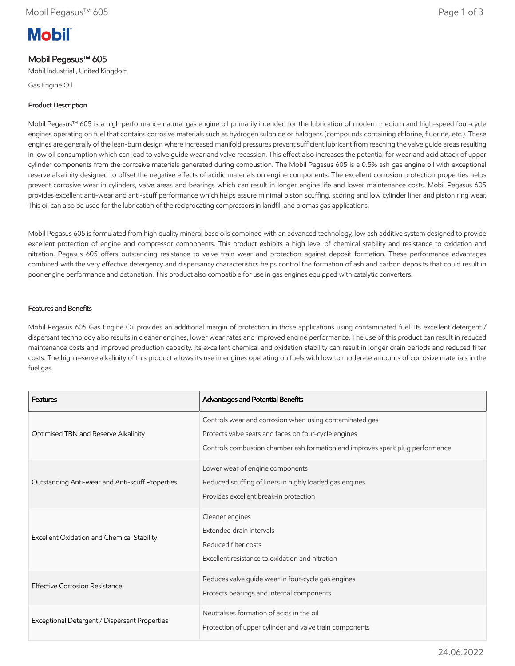# **Mobil**

# Mobil Pegasus™ 605

Mobil Industrial , United Kingdom

Gas Engine Oil

# Product Description

Mobil Pegasus™ 605 is a high performance natural gas engine oil primarily intended for the lubrication of modern medium and high-speed four-cycle engines operating on fuel that contains corrosive materials such as hydrogen sulphide or halogens (compounds containing chlorine, fluorine, etc.). These engines are generally of the lean-burn design where increased manifold pressures prevent sufficient lubricant from reaching the valve guide areas resulting in low oil consumption which can lead to valve guide wear and valve recession. This effect also increases the potential for wear and acid attack of upper cylinder components from the corrosive materials generated during combustion. The Mobil Pegasus 605 is a 0.5% ash gas engine oil with exceptional reserve alkalinity designed to offset the negative effects of acidic materials on engine components. The excellent corrosion protection properties helps prevent corrosive wear in cylinders, valve areas and bearings which can result in longer engine life and lower maintenance costs. Mobil Pegasus 605 provides excellent anti-wear and anti-scuff performance which helps assure minimal piston scuffing, scoring and low cylinder liner and piston ring wear. This oil can also be used for the lubrication of the reciprocating compressors in landfill and biomas gas applications.

Mobil Pegasus 605 is formulated from high quality mineral base oils combined with an advanced technology, low ash additive system designed to provide excellent protection of engine and compressor components. This product exhibits a high level of chemical stability and resistance to oxidation and nitration. Pegasus 605 offers outstanding resistance to valve train wear and protection against deposit formation. These performance advantages combined with the very effective detergency and dispersancy characteristics helps control the formation of ash and carbon deposits that could result in poor engine performance and detonation. This product also compatible for use in gas engines equipped with catalytic converters.

## Features and Benefits

Mobil Pegasus 605 Gas Engine Oil provides an additional margin of protection in those applications using contaminated fuel. Its excellent detergent / dispersant technology also results in cleaner engines, lower wear rates and improved engine performance. The use of this product can result in reduced maintenance costs and improved production capacity. Its excellent chemical and oxidation stability can result in longer drain periods and reduced filter costs. The high reserve alkalinity of this product allows its use in engines operating on fuels with low to moderate amounts of corrosive materials in the fuel gas.

| <b>Features</b>                                 | Advantages and Potential Benefits                                                                                                                                                                |
|-------------------------------------------------|--------------------------------------------------------------------------------------------------------------------------------------------------------------------------------------------------|
| Optimised TBN and Reserve Alkalinity            | Controls wear and corrosion when using contaminated gas<br>Protects valve seats and faces on four-cycle engines<br>Controls combustion chamber ash formation and improves spark plug performance |
| Outstanding Anti-wear and Anti-scuff Properties | Lower wear of engine components<br>Reduced scuffing of liners in highly loaded gas engines<br>Provides excellent break-in protection                                                             |
| Excellent Oxidation and Chemical Stability      | Cleaner engines<br>Extended drain intervals<br>Reduced filter costs<br>Excellent resistance to oxidation and nitration                                                                           |
| <b>Effective Corrosion Resistance</b>           | Reduces valve guide wear in four-cycle gas engines<br>Protects bearings and internal components                                                                                                  |
| Exceptional Detergent / Dispersant Properties   | Neutralises formation of acids in the oil<br>Protection of upper cylinder and valve train components                                                                                             |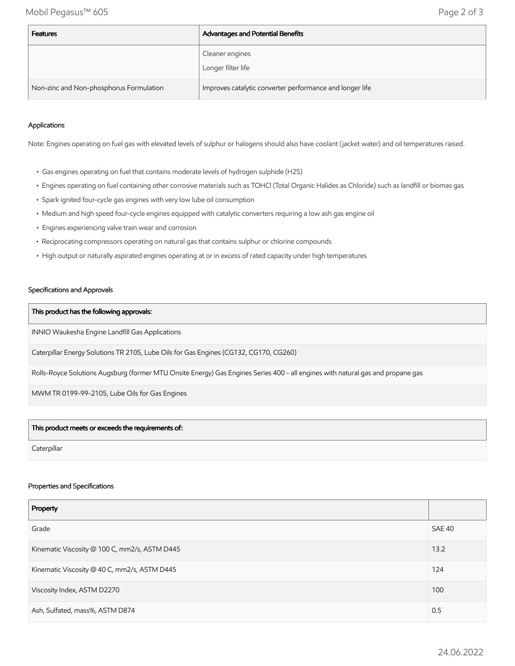Mobil Pegasus™ 605 Page 2 of 3

| <b>Features</b>                         | Advantages and Potential Benefits                        |
|-----------------------------------------|----------------------------------------------------------|
|                                         | Cleaner engines<br>Longer filter life                    |
| Non-zinc and Non-phosphorus Formulation | Improves catalytic converter performance and longer life |

#### Applications

Note: Engines operating on fuel gas with elevated levels of sulphur or halogens should also have coolant (jacket water) and oil temperatures raised.

- Gas engines operating on fuel that contains moderate levels of hydrogen sulphide (H2S)
- Engines operating on fuel containing other corrosive materials such as TOHCl (Total Organic Halides as Chloride) such as landfill or biomas gas
- Spark ignited four-cycle gas engines with very low lube oil consumption
- Medium and high speed four-cycle engines equipped with catalytic converters requiring a low ash gas engine oil
- Engines experiencing valve train wear and corrosion
- Reciprocating compressors operating on natural gas that contains sulphur or chlorine compounds
- High output or naturally aspirated engines operating at or in excess of rated capacity under high temperatures

#### Specifications and Approvals

#### This product has the following approvals:

INNIO Waukesha Engine Landfill Gas Applications

Caterpillar Energy Solutions TR 2105, Lube Oils for Gas Engines (CG132, CG170, CG260)

Rolls-Royce Solutions Augsburg (former MTU Onsite Energy) Gas Engines Series 400 - all engines with natural gas and propane gas

MWM TR 0199-99-2105, Lube Oils for Gas Engines

## This product meets or exceeds the requirements of:

**Caterpillar** 

#### Properties and Specifications

| Property                                      |               |
|-----------------------------------------------|---------------|
| Grade                                         | <b>SAE 40</b> |
| Kinematic Viscosity @ 100 C, mm2/s, ASTM D445 | 13.2          |
| Kinematic Viscosity @ 40 C, mm2/s, ASTM D445  | 124           |
| Viscosity Index, ASTM D2270                   | 100           |
| Ash, Sulfated, mass%, ASTM D874               | 0.5           |